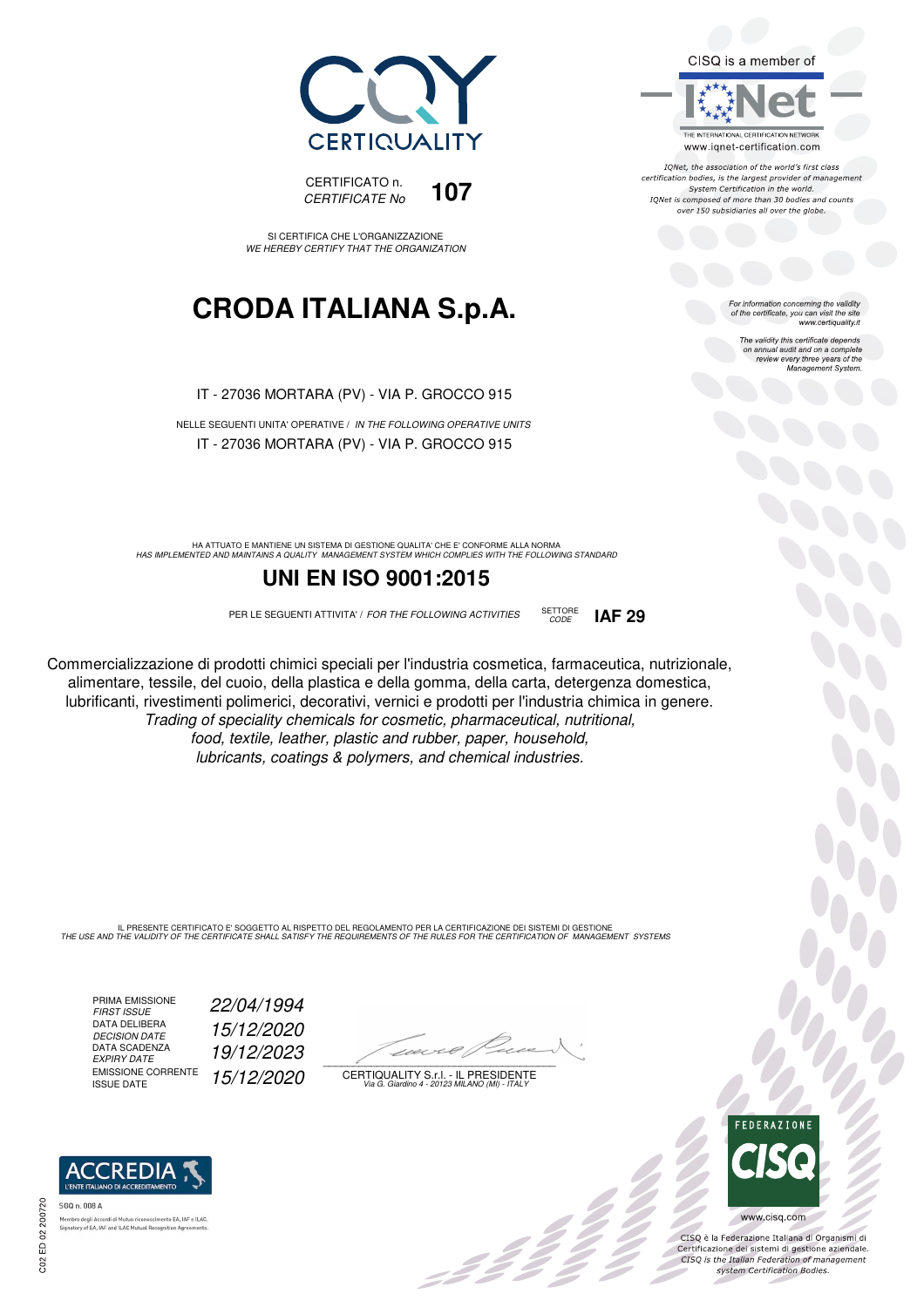



SI CERTIFICA CHE L'ORGANIZZAZIONE WE HEREBY CERTIFY THAT THE ORGANIZATION

## **CRODA ITALIANA S.p.A.**

IT - 27036 MORTARA (PV) - VIA P. GROCCO 915

NELLE SEGUENTI UNITA' OPERATIVE / IN THE FOLLOWING OPERATIVE UNITS IT - 27036 MORTARA (PV) - VIA P. GROCCO 915

HA ATTUATO E MANTIENE UN SISTEMA DI GESTIONE QUALITA' CHE E' CONFORME ALLA NORMA<br>HAS IMPLEMENTED AND MAINTAINS A QUALITY MANAGEMENT SYSTEM WHICH COMPLIES WITH THE FOLLOWING STANDARD

#### **UNI EN ISO 9001:2015**

PER LE SEGUENTI ATTIVITA' / FOR THE FOLLOWING ACTIVITIES SETTORE

CODE **IAF 29**

Commercializzazione di prodotti chimici speciali per l'industria cosmetica, farmaceutica, nutrizionale, alimentare, tessile, del cuoio, della plastica e della gomma, della carta, detergenza domestica, lubrificanti, rivestimenti polimerici, decorativi, vernici e prodotti per l'industria chimica in genere. Trading of speciality chemicals for cosmetic, pharmaceutical, nutritional, food, textile, leather, plastic and rubber, paper, household, lubricants, coatings & polymers, and chemical industries.

IL PRESENTE CERTIFICATO E' SOGGETTO AL RISPETTO DEL REGOLAMENTO PER LA CERTIFICAZIONE DEI SISTEMI DI GESTIONE<br>THE USE AND THE VALIDITY OF THE CERTIFICATE SHALL SATISFY THE REQUIREMENTS OF THE RULES FOR THE CERTIFICATION OF

PRIMA EMISSIONE<br>FIRST ISSUE DATA DELIBERA<br>DECISION DATE DATA SCADENZA<br>EXPIRY DATE EMISSIONE CORRENTE<br>ISSUE DATE FIRST ISSUE 22/04/1994 15/12/2020 EXPIRY DATE 19/12/2023 15/12/2020

 $\overline{\phantom{a}}$ 

:42 p

CERTIQUALITY S.r.l. - IL PRESIDENTE Via G. Giardino 4 - 20123 MILANO (MI) - ITALY

For information concerning the validity<br>of the certificate, you can visit the site<br>www.certiquality.it The validity this certificate depends on annual audit and on a complete review every three years of the Management System.

CISQ is a member of

THE INTERNATIONAL CERTIFICATION NETWORK

www.iqnet-certification.com IONet, the association of the world's first class certification bodies, is the largest provider of management System Certification in the world. IQNet is composed of more than 30 bodies and counts over 150 subsidiaries all over the globe.



 $\frac{1}{2}$ 

CISQ è la Federazione Italiana di Organismi di Certificazione dei sistemi di gestione aziendale.<br>CISQ is the Italian Federation of management system Certification Bodies.

ACCREDIA SGO n. 008 A

tory of EA, IAF and ILAC Mutual Recogni